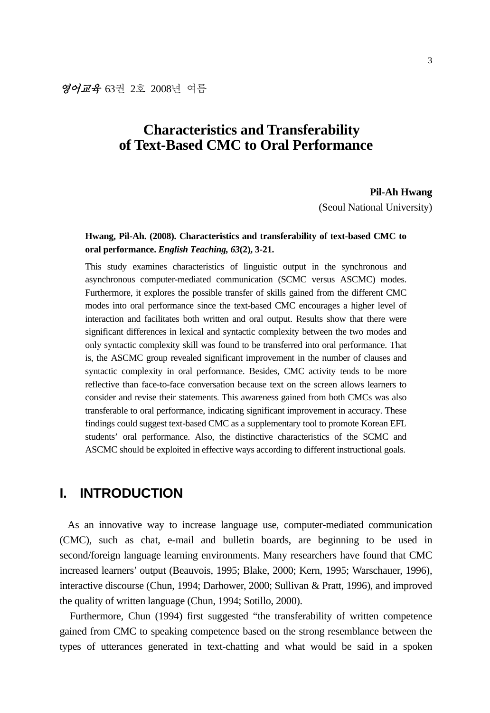# **Characteristics and Transferability of Text-Based CMC to Oral Performance**

#### **Pil-Ah Hwang**

(Seoul National University)

### **Hwang, Pil-Ah. (2008). Characteristics and transferability of text-based CMC to oral performance.** *English Teaching, 63***(2), 3-21.**

This study examines characteristics of linguistic output in the synchronous and asynchronous computer-mediated communication (SCMC versus ASCMC) modes. Furthermore, it explores the possible transfer of skills gained from the different CMC modes into oral performance since the text-based CMC encourages a higher level of interaction and facilitates both written and oral output. Results show that there were significant differences in lexical and syntactic complexity between the two modes and only syntactic complexity skill was found to be transferred into oral performance. That is, the ASCMC group revealed significant improvement in the number of clauses and syntactic complexity in oral performance. Besides, CMC activity tends to be more reflective than face-to-face conversation because text on the screen allows learners to consider and revise their statements. This awareness gained from both CMCs was also transferable to oral performance, indicating significant improvement in accuracy. These findings could suggest text-based CMC as a supplementary tool to promote Korean EFL students' oral performance. Also, the distinctive characteristics of the SCMC and ASCMC should be exploited in effective ways according to different instructional goals.

## **I. INTRODUCTION**

As an innovative way to increase language use, computer-mediated communication (CMC), such as chat, e-mail and bulletin boards, are beginning to be used in second/foreign language learning environments. Many researchers have found that CMC increased learners' output (Beauvois, 1995; Blake, 2000; Kern, 1995; Warschauer, 1996), interactive discourse (Chun, 1994; Darhower, 2000; Sullivan & Pratt, 1996), and improved the quality of written language (Chun, 1994; Sotillo, 2000).

Furthermore, Chun (1994) first suggested "the transferability of written competence gained from CMC to speaking competence based on the strong resemblance between the types of utterances generated in text-chatting and what would be said in a spoken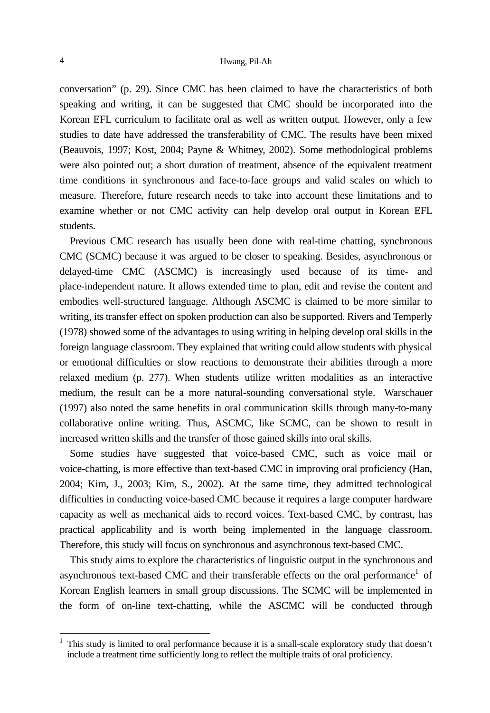conversation" (p. 29). Since CMC has been claimed to have the characteristics of both speaking and writing, it can be suggested that CMC should be incorporated into the Korean EFL curriculum to facilitate oral as well as written output. However, only a few studies to date have addressed the transferability of CMC. The results have been mixed (Beauvois, 1997; Kost, 2004; Payne & Whitney, 2002). Some methodological problems were also pointed out; a short duration of treatment, absence of the equivalent treatment time conditions in synchronous and face-to-face groups and valid scales on which to measure. Therefore, future research needs to take into account these limitations and to examine whether or not CMC activity can help develop oral output in Korean EFL students.

Previous CMC research has usually been done with real-time chatting, synchronous CMC (SCMC) because it was argued to be closer to speaking. Besides, asynchronous or delayed-time CMC (ASCMC) is increasingly used because of its time- and place-independent nature. It allows extended time to plan, edit and revise the content and embodies well-structured language. Although ASCMC is claimed to be more similar to writing, its transfer effect on spoken production can also be supported. Rivers and Temperly (1978) showed some of the advantages to using writing in helping develop oral skills in the foreign language classroom. They explained that writing could allow students with physical or emotional difficulties or slow reactions to demonstrate their abilities through a more relaxed medium (p. 277). When students utilize written modalities as an interactive medium, the result can be a more natural-sounding conversational style. Warschauer (1997) also noted the same benefits in oral communication skills through many-to-many collaborative online writing. Thus, ASCMC, like SCMC, can be shown to result in increased written skills and the transfer of those gained skills into oral skills.

Some studies have suggested that voice-based CMC, such as voice mail or voice-chatting, is more effective than text-based CMC in improving oral proficiency (Han, 2004; Kim, J., 2003; Kim, S., 2002). At the same time, they admitted technological difficulties in conducting voice-based CMC because it requires a large computer hardware capacity as well as mechanical aids to record voices. Text-based CMC, by contrast, has practical applicability and is worth being implemented in the language classroom. Therefore, this study will focus on synchronous and asynchronous text-based CMC.

This study aims to explore the characteristics of linguistic output in the synchronous and asynchronous text-based CMC and their transferable effects on the oral performance<sup>1</sup> of Korean English learners in small group discussions. The SCMC will be implemented in the form of on-line text-chatting, while the ASCMC will be conducted through

l

<sup>&</sup>lt;sup>1</sup> This study is limited to oral performance because it is a small-scale exploratory study that doesn't include a treatment time sufficiently long to reflect the multiple traits of oral proficiency.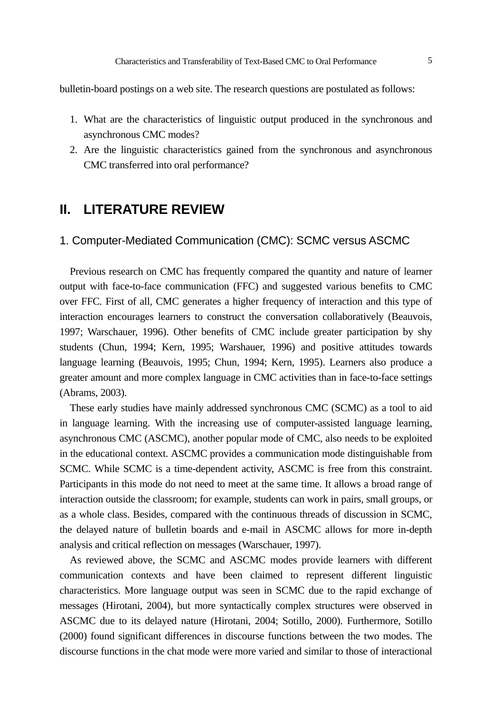bulletin-board postings on a web site. The research questions are postulated as follows:

- 1. What are the characteristics of linguistic output produced in the synchronous and asynchronous CMC modes?
- 2. Are the linguistic characteristics gained from the synchronous and asynchronous CMC transferred into oral performance?

## **II. LITERATURE REVIEW**

#### 1. Computer-Mediated Communication (CMC): SCMC versus ASCMC

Previous research on CMC has frequently compared the quantity and nature of learner output with face-to-face communication (FFC) and suggested various benefits to CMC over FFC. First of all, CMC generates a higher frequency of interaction and this type of interaction encourages learners to construct the conversation collaboratively (Beauvois, 1997; Warschauer, 1996). Other benefits of CMC include greater participation by shy students (Chun, 1994; Kern, 1995; Warshauer, 1996) and positive attitudes towards language learning (Beauvois, 1995; Chun, 1994; Kern, 1995). Learners also produce a greater amount and more complex language in CMC activities than in face-to-face settings (Abrams, 2003).

These early studies have mainly addressed synchronous CMC (SCMC) as a tool to aid in language learning. With the increasing use of computer-assisted language learning, asynchronous CMC (ASCMC), another popular mode of CMC, also needs to be exploited in the educational context. ASCMC provides a communication mode distinguishable from SCMC. While SCMC is a time-dependent activity, ASCMC is free from this constraint. Participants in this mode do not need to meet at the same time. It allows a broad range of interaction outside the classroom; for example, students can work in pairs, small groups, or as a whole class. Besides, compared with the continuous threads of discussion in SCMC, the delayed nature of bulletin boards and e-mail in ASCMC allows for more in-depth analysis and critical reflection on messages (Warschauer, 1997).

As reviewed above, the SCMC and ASCMC modes provide learners with different communication contexts and have been claimed to represent different linguistic characteristics. More language output was seen in SCMC due to the rapid exchange of messages (Hirotani, 2004), but more syntactically complex structures were observed in ASCMC due to its delayed nature (Hirotani, 2004; Sotillo, 2000). Furthermore, Sotillo (2000) found significant differences in discourse functions between the two modes. The discourse functions in the chat mode were more varied and similar to those of interactional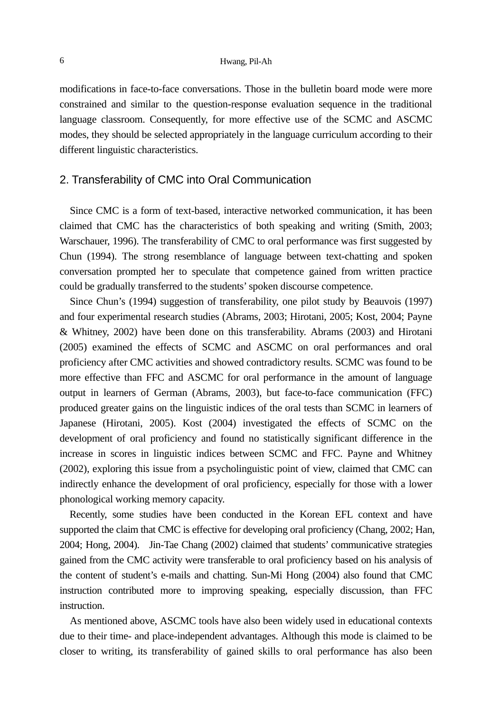modifications in face-to-face conversations. Those in the bulletin board mode were more constrained and similar to the question-response evaluation sequence in the traditional language classroom. Consequently, for more effective use of the SCMC and ASCMC modes, they should be selected appropriately in the language curriculum according to their different linguistic characteristics.

#### 2. Transferability of CMC into Oral Communication

Since CMC is a form of text-based, interactive networked communication, it has been claimed that CMC has the characteristics of both speaking and writing (Smith, 2003; Warschauer, 1996). The transferability of CMC to oral performance was first suggested by Chun (1994). The strong resemblance of language between text-chatting and spoken conversation prompted her to speculate that competence gained from written practice could be gradually transferred to the students' spoken discourse competence.

Since Chun's (1994) suggestion of transferability, one pilot study by Beauvois (1997) and four experimental research studies (Abrams, 2003; Hirotani, 2005; Kost, 2004; Payne & Whitney, 2002) have been done on this transferability. Abrams (2003) and Hirotani (2005) examined the effects of SCMC and ASCMC on oral performances and oral proficiency after CMC activities and showed contradictory results. SCMC was found to be more effective than FFC and ASCMC for oral performance in the amount of language output in learners of German (Abrams, 2003), but face-to-face communication (FFC) produced greater gains on the linguistic indices of the oral tests than SCMC in learners of Japanese (Hirotani, 2005). Kost (2004) investigated the effects of SCMC on the development of oral proficiency and found no statistically significant difference in the increase in scores in linguistic indices between SCMC and FFC. Payne and Whitney (2002), exploring this issue from a psycholinguistic point of view, claimed that CMC can indirectly enhance the development of oral proficiency, especially for those with a lower phonological working memory capacity.

Recently, some studies have been conducted in the Korean EFL context and have supported the claim that CMC is effective for developing oral proficiency (Chang, 2002; Han, 2004; Hong, 2004). Jin-Tae Chang (2002) claimed that students' communicative strategies gained from the CMC activity were transferable to oral proficiency based on his analysis of the content of student's e-mails and chatting. Sun-Mi Hong (2004) also found that CMC instruction contributed more to improving speaking, especially discussion, than FFC instruction.

As mentioned above, ASCMC tools have also been widely used in educational contexts due to their time- and place-independent advantages. Although this mode is claimed to be closer to writing, its transferability of gained skills to oral performance has also been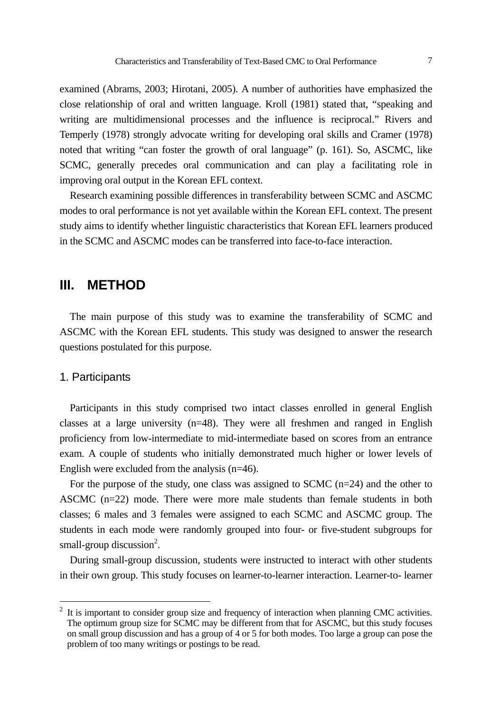examined (Abrams, 2003; Hirotani, 2005). A number of authorities have emphasized the close relationship of oral and written language. Kroll (1981) stated that, "speaking and writing are multidimensional processes and the influence is reciprocal." Rivers and Temperly (1978) strongly advocate writing for developing oral skills and Cramer (1978) noted that writing "can foster the growth of oral language" (p. 161). So, ASCMC, like SCMC, generally precedes oral communication and can play a facilitating role in improving oral output in the Korean EFL context.

Research examining possible differences in transferability between SCMC and ASCMC modes to oral performance is not yet available within the Korean EFL context. The present study aims to identify whether linguistic characteristics that Korean EFL learners produced in the SCMC and ASCMC modes can be transferred into face-to-face interaction.

### **III. METHOD**

The main purpose of this study was to examine the transferability of SCMC and ASCMC with the Korean EFL students. This study was designed to answer the research questions postulated for this purpose.

#### 1. Participants

l

Participants in this study comprised two intact classes enrolled in general English classes at a large university  $(n=48)$ . They were all freshmen and ranged in English proficiency from low-intermediate to mid-intermediate based on scores from an entrance exam. A couple of students who initially demonstrated much higher or lower levels of English were excluded from the analysis (n=46).

For the purpose of the study, one class was assigned to SCMC  $(n=24)$  and the other to ASCMC (n=22) mode. There were more male students than female students in both classes; 6 males and 3 females were assigned to each SCMC and ASCMC group. The students in each mode were randomly grouped into four- or five-student subgroups for small-group discussion<sup>2</sup>.

During small-group discussion, students were instructed to interact with other students in their own group. This study focuses on learner-to-learner interaction. Learner-to- learner

 $2$  It is important to consider group size and frequency of interaction when planning CMC activities. The optimum group size for SCMC may be different from that for ASCMC, but this study focuses on small group discussion and has a group of 4 or 5 for both modes. Too large a group can pose the problem of too many writings or postings to be read.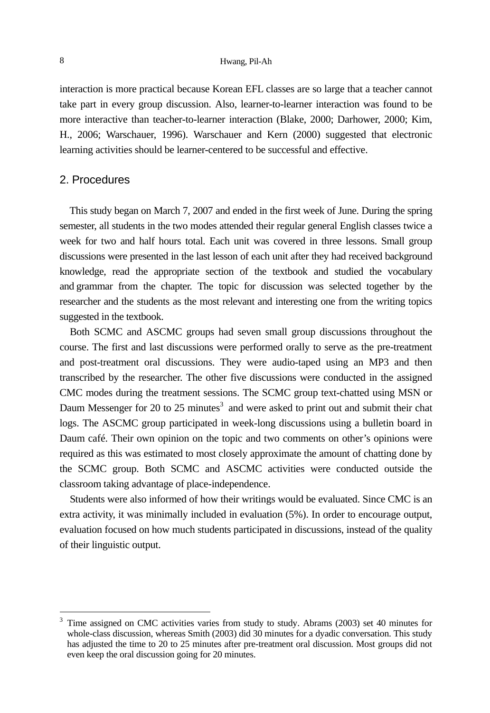#### 8 Hwang, Pil-Ah

interaction is more practical because Korean EFL classes are so large that a teacher cannot take part in every group discussion. Also, learner-to-learner interaction was found to be more interactive than teacher-to-learner interaction (Blake, 2000; Darhower, 2000; Kim, H., 2006; Warschauer, 1996). Warschauer and Kern (2000) suggested that electronic learning activities should be learner-centered to be successful and effective.

### 2. Procedures

This study began on March 7, 2007 and ended in the first week of June. During the spring semester, all students in the two modes attended their regular general English classes twice a week for two and half hours total. Each unit was covered in three lessons. Small group discussions were presented in the last lesson of each unit after they had received background knowledge, read the appropriate section of the textbook and studied the vocabulary and grammar from the chapter. The topic for discussion was selected together by the researcher and the students as the most relevant and interesting one from the writing topics suggested in the textbook.

Both SCMC and ASCMC groups had seven small group discussions throughout the course. The first and last discussions were performed orally to serve as the pre-treatment and post-treatment oral discussions. They were audio-taped using an MP3 and then transcribed by the researcher. The other five discussions were conducted in the assigned CMC modes during the treatment sessions. The SCMC group text-chatted using MSN or Daum Messenger for 20 to 25 minutes<sup>3</sup> and were asked to print out and submit their chat logs. The ASCMC group participated in week-long discussions using a bulletin board in Daum café. Their own opinion on the topic and two comments on other's opinions were required as this was estimated to most closely approximate the amount of chatting done by the SCMC group. Both SCMC and ASCMC activities were conducted outside the classroom taking advantage of place-independence.

Students were also informed of how their writings would be evaluated. Since CMC is an extra activity, it was minimally included in evaluation (5%). In order to encourage output, evaluation focused on how much students participated in discussions, instead of the quality of their linguistic output.

-

<sup>&</sup>lt;sup>3</sup> Time assigned on CMC activities varies from study to study. Abrams (2003) set 40 minutes for whole-class discussion, whereas Smith (2003) did 30 minutes for a dyadic conversation. This study has adjusted the time to 20 to 25 minutes after pre-treatment oral discussion. Most groups did not even keep the oral discussion going for 20 minutes.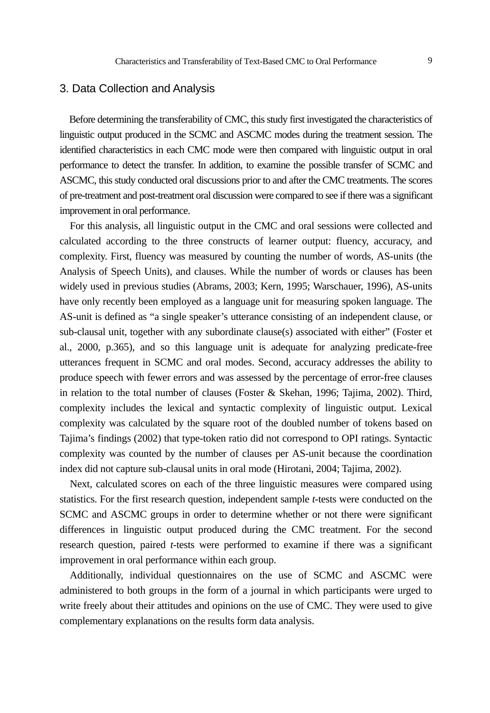#### 3. Data Collection and Analysis

Before determining the transferability of CMC, this study first investigated the characteristics of linguistic output produced in the SCMC and ASCMC modes during the treatment session. The identified characteristics in each CMC mode were then compared with linguistic output in oral performance to detect the transfer. In addition, to examine the possible transfer of SCMC and ASCMC, this study conducted oral discussions prior to and after the CMC treatments. The scores of pre-treatment and post-treatment oral discussion were compared to see if there was a significant improvement in oral performance.

For this analysis, all linguistic output in the CMC and oral sessions were collected and calculated according to the three constructs of learner output: fluency, accuracy, and complexity. First, fluency was measured by counting the number of words, AS-units (the Analysis of Speech Units), and clauses. While the number of words or clauses has been widely used in previous studies (Abrams, 2003; Kern, 1995; Warschauer, 1996), AS-units have only recently been employed as a language unit for measuring spoken language. The AS-unit is defined as "a single speaker's utterance consisting of an independent clause, or sub-clausal unit, together with any subordinate clause(s) associated with either" (Foster et al., 2000, p.365), and so this language unit is adequate for analyzing predicate-free utterances frequent in SCMC and oral modes. Second, accuracy addresses the ability to produce speech with fewer errors and was assessed by the percentage of error-free clauses in relation to the total number of clauses (Foster & Skehan, 1996; Tajima, 2002). Third, complexity includes the lexical and syntactic complexity of linguistic output. Lexical complexity was calculated by the square root of the doubled number of tokens based on Tajima's findings (2002) that type-token ratio did not correspond to OPI ratings. Syntactic complexity was counted by the number of clauses per AS-unit because the coordination index did not capture sub-clausal units in oral mode (Hirotani, 2004; Tajima, 2002).

Next, calculated scores on each of the three linguistic measures were compared using statistics. For the first research question, independent sample *t*-tests were conducted on the SCMC and ASCMC groups in order to determine whether or not there were significant differences in linguistic output produced during the CMC treatment. For the second research question, paired *t*-tests were performed to examine if there was a significant improvement in oral performance within each group.

Additionally, individual questionnaires on the use of SCMC and ASCMC were administered to both groups in the form of a journal in which participants were urged to write freely about their attitudes and opinions on the use of CMC. They were used to give complementary explanations on the results form data analysis.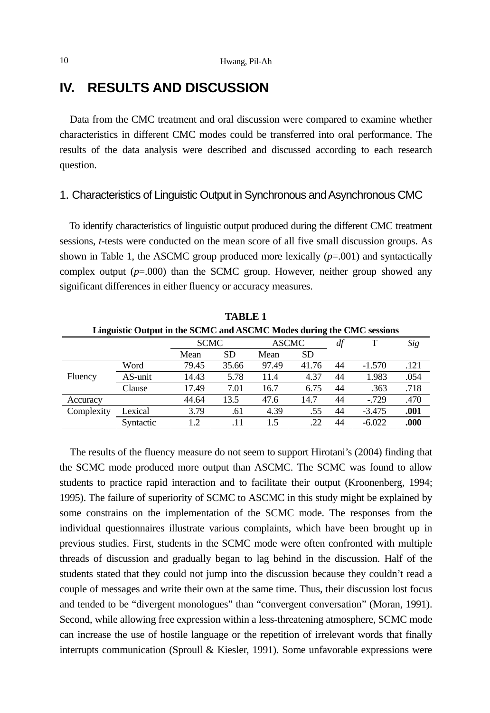# **IV. RESULTS AND DISCUSSION**

Data from the CMC treatment and oral discussion were compared to examine whether characteristics in different CMC modes could be transferred into oral performance. The results of the data analysis were described and discussed according to each research question.

### 1. Characteristics of Linguistic Output in Synchronous and Asynchronous CMC

To identify characteristics of linguistic output produced during the different CMC treatment sessions, *t*-tests were conducted on the mean score of all five small discussion groups. As shown in Table 1, the ASCMC group produced more lexically  $(p=001)$  and syntactically complex output (*p*=.000) than the SCMC group. However, neither group showed any significant differences in either fluency or accuracy measures.

| <b>TABLE 1</b>                                                        |           |               |           |       |           |    |          |      |  |  |  |  |  |
|-----------------------------------------------------------------------|-----------|---------------|-----------|-------|-----------|----|----------|------|--|--|--|--|--|
| Linguistic Output in the SCMC and ASCMC Modes during the CMC sessions |           |               |           |       |           |    |          |      |  |  |  |  |  |
|                                                                       |           | <b>SCMC</b>   |           | ASCMC |           | df |          | Sig  |  |  |  |  |  |
|                                                                       |           | Mean          | <b>SD</b> | Mean  | <b>SD</b> |    |          |      |  |  |  |  |  |
| Fluency                                                               | Word      | 79.45         | 35.66     | 97.49 | 41.76     | 44 | $-1.570$ | .121 |  |  |  |  |  |
|                                                                       | AS-unit   | 14.43         | 5.78      | 11.4  | 4.37      | 44 | 1.983    | .054 |  |  |  |  |  |
|                                                                       | Clause    | 17.49         | 7.01      | 16.7  | 6.75      | 44 | .363     | .718 |  |  |  |  |  |
| Accuracy                                                              |           | 44.64         | 13.5      | 47.6  | 14.7      | 44 | $-0.729$ | .470 |  |  |  |  |  |
| Complexity                                                            | Lexical   | 3.79          | .61       | 4.39  | .55       | 44 | $-3.475$ | .001 |  |  |  |  |  |
|                                                                       | Syntactic | $\mathcal{D}$ | .11       | 15    | .22       | 44 | $-6.022$ | .000 |  |  |  |  |  |

The results of the fluency measure do not seem to support Hirotani's (2004) finding that the SCMC mode produced more output than ASCMC. The SCMC was found to allow students to practice rapid interaction and to facilitate their output (Kroonenberg, 1994; 1995). The failure of superiority of SCMC to ASCMC in this study might be explained by some constrains on the implementation of the SCMC mode. The responses from the individual questionnaires illustrate various complaints, which have been brought up in previous studies. First, students in the SCMC mode were often confronted with multiple threads of discussion and gradually began to lag behind in the discussion. Half of the students stated that they could not jump into the discussion because they couldn't read a couple of messages and write their own at the same time. Thus, their discussion lost focus and tended to be "divergent monologues" than "convergent conversation" (Moran, 1991). Second, while allowing free expression within a less-threatening atmosphere, SCMC mode can increase the use of hostile language or the repetition of irrelevant words that finally interrupts communication (Sproull & Kiesler, 1991). Some unfavorable expressions were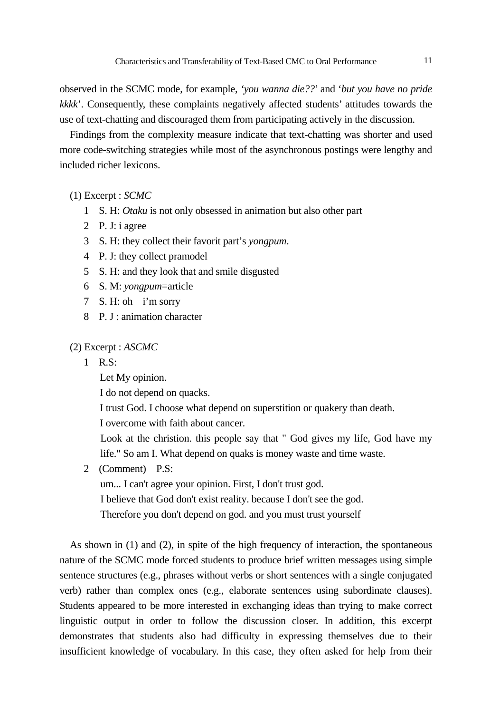observed in the SCMC mode, for example, *'you wanna die??*' and '*but you have no pride kkkk*'. Consequently, these complaints negatively affected students' attitudes towards the use of text-chatting and discouraged them from participating actively in the discussion.

Findings from the complexity measure indicate that text-chatting was shorter and used more code-switching strategies while most of the asynchronous postings were lengthy and included richer lexicons.

(1) Excerpt : *SCMC*

- 1 S. H: *Otaku* is not only obsessed in animation but also other part
- 2 P. J: i agree
- 3 S. H: they collect their favorit part's *yongpum*.
- 4 P. J: they collect pramodel
- 5 S. H: and they look that and smile disgusted
- 6 S. M: *yongpum*=article
- 7 S. H: oh i'm sorry
- 8 P. J : animation character

(2) Excerpt : *ASCMC*

1 R.S:

Let My opinion.

I do not depend on quacks.

I trust God. I choose what depend on superstition or quakery than death.

I overcome with faith about cancer.

 Look at the christion. this people say that " God gives my life, God have my life." So am I. What depend on quaks is money waste and time waste.

2 (Comment) P.S:

um... I can't agree your opinion. First, I don't trust god.

I believe that God don't exist reality. because I don't see the god.

Therefore you don't depend on god. and you must trust yourself

As shown in (1) and (2), in spite of the high frequency of interaction, the spontaneous nature of the SCMC mode forced students to produce brief written messages using simple sentence structures (e.g., phrases without verbs or short sentences with a single conjugated verb) rather than complex ones (e.g., elaborate sentences using subordinate clauses). Students appeared to be more interested in exchanging ideas than trying to make correct linguistic output in order to follow the discussion closer. In addition, this excerpt demonstrates that students also had difficulty in expressing themselves due to their insufficient knowledge of vocabulary. In this case, they often asked for help from their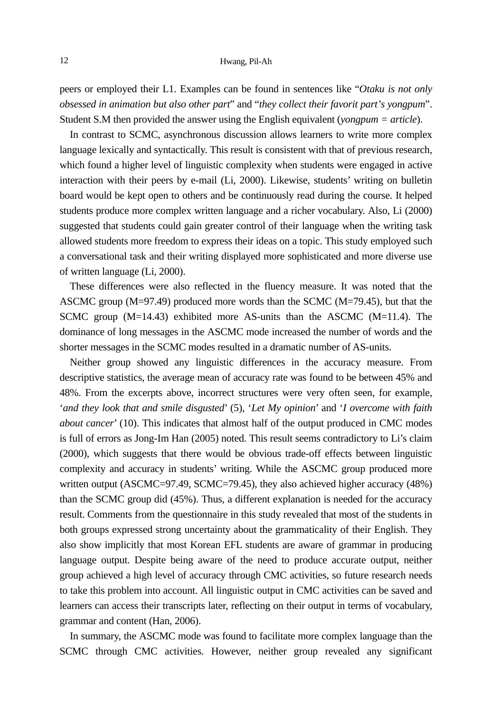peers or employed their L1. Examples can be found in sentences like "*Otaku is not only obsessed in animation but also other part*" and "*they collect their favorit part's yongpum*". Student S.M then provided the answer using the English equivalent (*yongpum = article*).

In contrast to SCMC, asynchronous discussion allows learners to write more complex language lexically and syntactically. This result is consistent with that of previous research, which found a higher level of linguistic complexity when students were engaged in active interaction with their peers by e-mail (Li, 2000). Likewise, students' writing on bulletin board would be kept open to others and be continuously read during the course. It helped students produce more complex written language and a richer vocabulary. Also, Li (2000) suggested that students could gain greater control of their language when the writing task allowed students more freedom to express their ideas on a topic. This study employed such a conversational task and their writing displayed more sophisticated and more diverse use of written language (Li, 2000).

These differences were also reflected in the fluency measure. It was noted that the ASCMC group ( $M=97.49$ ) produced more words than the SCMC ( $M=79.45$ ), but that the SCMC group (M=14.43) exhibited more AS-units than the ASCMC (M=11.4). The dominance of long messages in the ASCMC mode increased the number of words and the shorter messages in the SCMC modes resulted in a dramatic number of AS-units.

Neither group showed any linguistic differences in the accuracy measure. From descriptive statistics, the average mean of accuracy rate was found to be between 45% and 48%. From the excerpts above, incorrect structures were very often seen, for example, '*and they look that and smile disgusted*' (5), '*Let My opinion*' and '*I overcome with faith about cancer*' (10). This indicates that almost half of the output produced in CMC modes is full of errors as Jong-Im Han (2005) noted. This result seems contradictory to Li's claim (2000), which suggests that there would be obvious trade-off effects between linguistic complexity and accuracy in students' writing. While the ASCMC group produced more written output (ASCMC=97.49, SCMC=79.45), they also achieved higher accuracy (48%) than the SCMC group did (45%). Thus, a different explanation is needed for the accuracy result. Comments from the questionnaire in this study revealed that most of the students in both groups expressed strong uncertainty about the grammaticality of their English. They also show implicitly that most Korean EFL students are aware of grammar in producing language output. Despite being aware of the need to produce accurate output, neither group achieved a high level of accuracy through CMC activities, so future research needs to take this problem into account. All linguistic output in CMC activities can be saved and learners can access their transcripts later, reflecting on their output in terms of vocabulary, grammar and content (Han, 2006).

In summary, the ASCMC mode was found to facilitate more complex language than the SCMC through CMC activities. However, neither group revealed any significant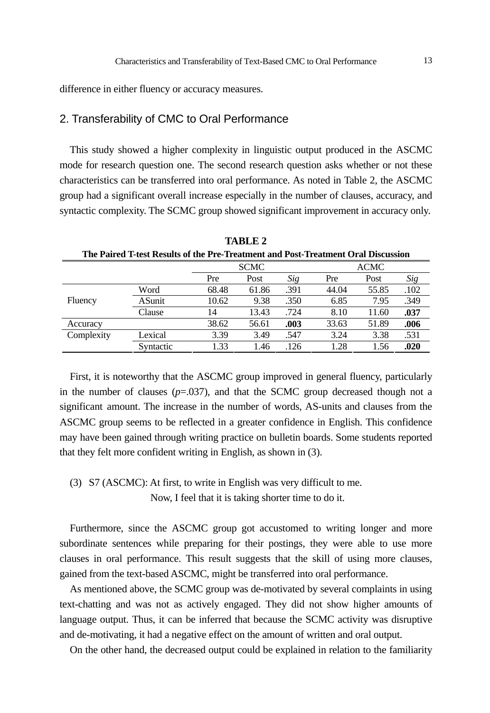difference in either fluency or accuracy measures.

### 2. Transferability of CMC to Oral Performance

This study showed a higher complexity in linguistic output produced in the ASCMC mode for research question one. The second research question asks whether or not these characteristics can be transferred into oral performance. As noted in Table 2, the ASCMC group had a significant overall increase especially in the number of clauses, accuracy, and syntactic complexity. The SCMC group showed significant improvement in accuracy only.

| The Paired T-test Results of the Pre-Treatment and Post-Treatment Oral Discussion |               |       |             |      |             |       |      |  |  |  |  |  |
|-----------------------------------------------------------------------------------|---------------|-------|-------------|------|-------------|-------|------|--|--|--|--|--|
|                                                                                   |               |       | <b>SCMC</b> |      | <b>ACMC</b> |       |      |  |  |  |  |  |
|                                                                                   |               | Pre   | Post        | Sig  | Pre         | Post  | Sig  |  |  |  |  |  |
|                                                                                   | Word          | 68.48 | 61.86       | .391 | 44.04       | 55.85 | .102 |  |  |  |  |  |
| Fluency                                                                           | <b>ASunit</b> | 10.62 | 9.38        | .350 | 6.85        | 7.95  | .349 |  |  |  |  |  |
|                                                                                   | Clause        | 14    | 13.43       | .724 | 8.10        | 11.60 | .037 |  |  |  |  |  |
| Accuracy                                                                          |               | 38.62 | 56.61       | .003 | 33.63       | 51.89 | .006 |  |  |  |  |  |
| Complexity                                                                        | Lexical       | 3.39  | 3.49        | .547 | 3.24        | 3.38  | .531 |  |  |  |  |  |
|                                                                                   | Syntactic     | 1.33  | 1.46        | .126 | 1.28        | 1.56  | .020 |  |  |  |  |  |

**TABLE 2** 

First, it is noteworthy that the ASCMC group improved in general fluency, particularly in the number of clauses  $(p=.037)$ , and that the SCMC group decreased though not a significant amount. The increase in the number of words, AS-units and clauses from the ASCMC group seems to be reflected in a greater confidence in English. This confidence may have been gained through writing practice on bulletin boards. Some students reported that they felt more confident writing in English, as shown in (3).

### (3) S7 (ASCMC): At first, to write in English was very difficult to me. Now, I feel that it is taking shorter time to do it.

Furthermore, since the ASCMC group got accustomed to writing longer and more subordinate sentences while preparing for their postings, they were able to use more clauses in oral performance. This result suggests that the skill of using more clauses, gained from the text-based ASCMC, might be transferred into oral performance.

As mentioned above, the SCMC group was de-motivated by several complaints in using text-chatting and was not as actively engaged. They did not show higher amounts of language output. Thus, it can be inferred that because the SCMC activity was disruptive and de-motivating, it had a negative effect on the amount of written and oral output.

On the other hand, the decreased output could be explained in relation to the familiarity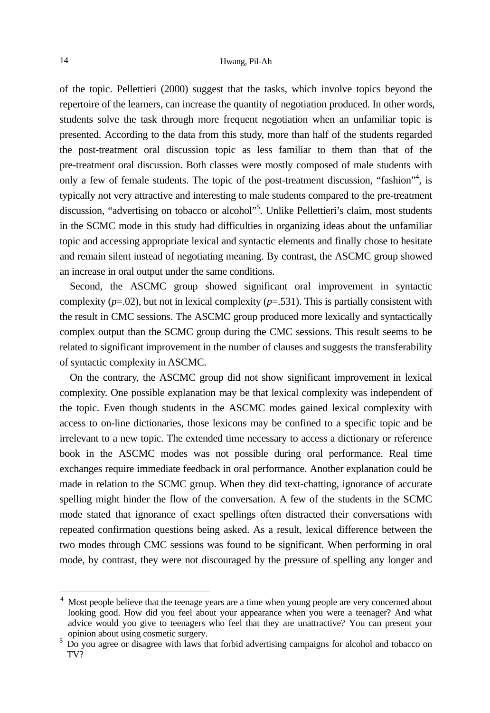of the topic. Pellettieri (2000) suggest that the tasks, which involve topics beyond the repertoire of the learners, can increase the quantity of negotiation produced. In other words, students solve the task through more frequent negotiation when an unfamiliar topic is presented. According to the data from this study, more than half of the students regarded the post-treatment oral discussion topic as less familiar to them than that of the pre-treatment oral discussion. Both classes were mostly composed of male students with only a few of female students. The topic of the post-treatment discussion, "fashion"<sup>4</sup>, is typically not very attractive and interesting to male students compared to the pre-treatment discussion, "advertising on tobacco or alcohol"<sup>5</sup>. Unlike Pellettieri's claim, most students in the SCMC mode in this study had difficulties in organizing ideas about the unfamiliar topic and accessing appropriate lexical and syntactic elements and finally chose to hesitate and remain silent instead of negotiating meaning. By contrast, the ASCMC group showed an increase in oral output under the same conditions.

Second, the ASCMC group showed significant oral improvement in syntactic complexity  $(p=.531)$ , but not in lexical complexity  $(p=.531)$ . This is partially consistent with the result in CMC sessions. The ASCMC group produced more lexically and syntactically complex output than the SCMC group during the CMC sessions. This result seems to be related to significant improvement in the number of clauses and suggests the transferability of syntactic complexity in ASCMC.

On the contrary, the ASCMC group did not show significant improvement in lexical complexity. One possible explanation may be that lexical complexity was independent of the topic. Even though students in the ASCMC modes gained lexical complexity with access to on-line dictionaries, those lexicons may be confined to a specific topic and be irrelevant to a new topic. The extended time necessary to access a dictionary or reference book in the ASCMC modes was not possible during oral performance. Real time exchanges require immediate feedback in oral performance. Another explanation could be made in relation to the SCMC group. When they did text-chatting, ignorance of accurate spelling might hinder the flow of the conversation. A few of the students in the SCMC mode stated that ignorance of exact spellings often distracted their conversations with repeated confirmation questions being asked. As a result, lexical difference between the two modes through CMC sessions was found to be significant. When performing in oral mode, by contrast, they were not discouraged by the pressure of spelling any longer and

l

<sup>4</sup> Most people believe that the teenage years are a time when young people are very concerned about looking good. How did you feel about your appearance when you were a teenager? And what advice would you give to teenagers who feel that they are unattractive? You can present your opinion about using cosmetic surgery. 5

 $5\,$  Do you agree or disagree with laws that forbid advertising campaigns for alcohol and tobacco on TV?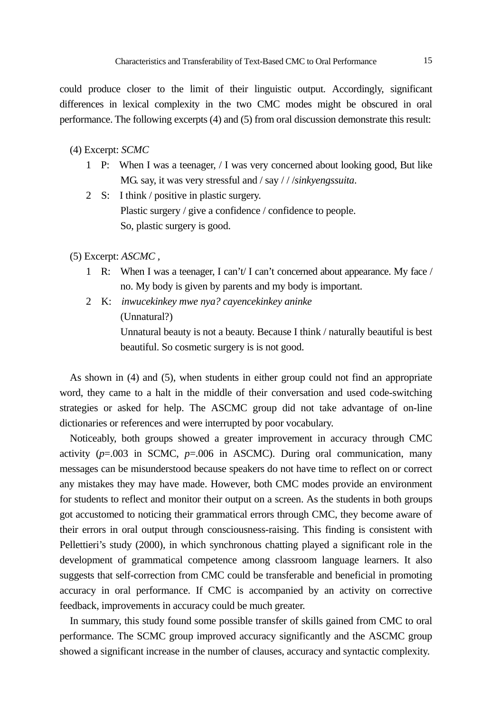could produce closer to the limit of their linguistic output. Accordingly, significant differences in lexical complexity in the two CMC modes might be obscured in oral performance. The following excerpts (4) and (5) from oral discussion demonstrate this result:

#### (4) Excerpt: *SCMC*

- 1 P: When I was a teenager, / I was very concerned about looking good, But like MG. say, it was very stressful and / say / / /*sinkyengssuita*.
- 2 S: I think / positive in plastic surgery. Plastic surgery / give a confidence / confidence to people. So, plastic surgery is good.
- (5) Excerpt: *ASCMC ,* 
	- 1 R: When I was a teenager, I can't/ I can't concerned about appearance. My face / no. My body is given by parents and my body is important.
	- 2 K: *inwucekinkey mwe nya? cayencekinkey aninke* (Unnatural?) Unnatural beauty is not a beauty. Because I think / naturally beautiful is best beautiful. So cosmetic surgery is is not good.

As shown in (4) and (5), when students in either group could not find an appropriate word, they came to a halt in the middle of their conversation and used code-switching strategies or asked for help. The ASCMC group did not take advantage of on-line dictionaries or references and were interrupted by poor vocabulary.

Noticeably, both groups showed a greater improvement in accuracy through CMC activity  $(p=.003$  in SCMC,  $p=.006$  in ASCMC). During oral communication, many messages can be misunderstood because speakers do not have time to reflect on or correct any mistakes they may have made. However, both CMC modes provide an environment for students to reflect and monitor their output on a screen. As the students in both groups got accustomed to noticing their grammatical errors through CMC, they become aware of their errors in oral output through consciousness-raising. This finding is consistent with Pellettieri's study (2000), in which synchronous chatting played a significant role in the development of grammatical competence among classroom language learners. It also suggests that self-correction from CMC could be transferable and beneficial in promoting accuracy in oral performance. If CMC is accompanied by an activity on corrective feedback, improvements in accuracy could be much greater.

In summary, this study found some possible transfer of skills gained from CMC to oral performance. The SCMC group improved accuracy significantly and the ASCMC group showed a significant increase in the number of clauses, accuracy and syntactic complexity.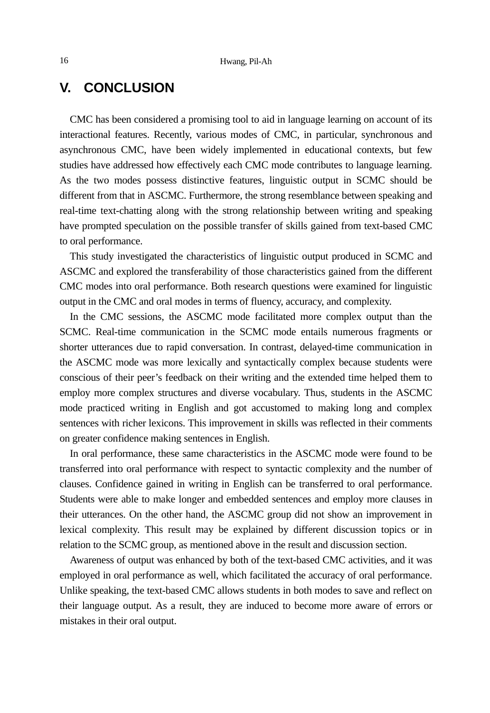## **V. CONCLUSION**

CMC has been considered a promising tool to aid in language learning on account of its interactional features. Recently, various modes of CMC, in particular, synchronous and asynchronous CMC, have been widely implemented in educational contexts, but few studies have addressed how effectively each CMC mode contributes to language learning. As the two modes possess distinctive features, linguistic output in SCMC should be different from that in ASCMC. Furthermore, the strong resemblance between speaking and real-time text-chatting along with the strong relationship between writing and speaking have prompted speculation on the possible transfer of skills gained from text-based CMC to oral performance.

This study investigated the characteristics of linguistic output produced in SCMC and ASCMC and explored the transferability of those characteristics gained from the different CMC modes into oral performance. Both research questions were examined for linguistic output in the CMC and oral modes in terms of fluency, accuracy, and complexity.

In the CMC sessions, the ASCMC mode facilitated more complex output than the SCMC. Real-time communication in the SCMC mode entails numerous fragments or shorter utterances due to rapid conversation. In contrast, delayed-time communication in the ASCMC mode was more lexically and syntactically complex because students were conscious of their peer's feedback on their writing and the extended time helped them to employ more complex structures and diverse vocabulary. Thus, students in the ASCMC mode practiced writing in English and got accustomed to making long and complex sentences with richer lexicons. This improvement in skills was reflected in their comments on greater confidence making sentences in English.

In oral performance, these same characteristics in the ASCMC mode were found to be transferred into oral performance with respect to syntactic complexity and the number of clauses. Confidence gained in writing in English can be transferred to oral performance. Students were able to make longer and embedded sentences and employ more clauses in their utterances. On the other hand, the ASCMC group did not show an improvement in lexical complexity. This result may be explained by different discussion topics or in relation to the SCMC group, as mentioned above in the result and discussion section.

Awareness of output was enhanced by both of the text-based CMC activities, and it was employed in oral performance as well, which facilitated the accuracy of oral performance. Unlike speaking, the text-based CMC allows students in both modes to save and reflect on their language output. As a result, they are induced to become more aware of errors or mistakes in their oral output.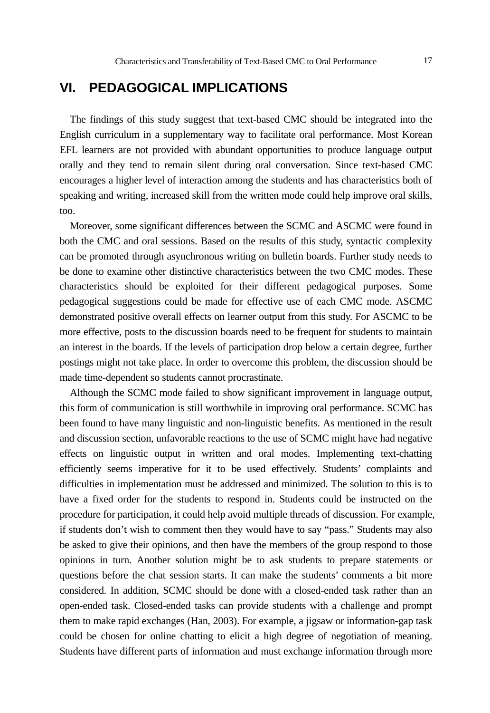## **VI. PEDAGOGICAL IMPLICATIONS**

The findings of this study suggest that text-based CMC should be integrated into the English curriculum in a supplementary way to facilitate oral performance. Most Korean EFL learners are not provided with abundant opportunities to produce language output orally and they tend to remain silent during oral conversation. Since text-based CMC encourages a higher level of interaction among the students and has characteristics both of speaking and writing, increased skill from the written mode could help improve oral skills, too.

Moreover, some significant differences between the SCMC and ASCMC were found in both the CMC and oral sessions. Based on the results of this study, syntactic complexity can be promoted through asynchronous writing on bulletin boards. Further study needs to be done to examine other distinctive characteristics between the two CMC modes. These characteristics should be exploited for their different pedagogical purposes. Some pedagogical suggestions could be made for effective use of each CMC mode. ASCMC demonstrated positive overall effects on learner output from this study. For ASCMC to be more effective, posts to the discussion boards need to be frequent for students to maintain an interest in the boards. If the levels of participation drop below a certain degree, further postings might not take place. In order to overcome this problem, the discussion should be made time-dependent so students cannot procrastinate.

Although the SCMC mode failed to show significant improvement in language output, this form of communication is still worthwhile in improving oral performance. SCMC has been found to have many linguistic and non-linguistic benefits. As mentioned in the result and discussion section, unfavorable reactions to the use of SCMC might have had negative effects on linguistic output in written and oral modes. Implementing text-chatting efficiently seems imperative for it to be used effectively. Students' complaints and difficulties in implementation must be addressed and minimized. The solution to this is to have a fixed order for the students to respond in. Students could be instructed on the procedure for participation, it could help avoid multiple threads of discussion. For example, if students don't wish to comment then they would have to say "pass." Students may also be asked to give their opinions, and then have the members of the group respond to those opinions in turn. Another solution might be to ask students to prepare statements or questions before the chat session starts. It can make the students' comments a bit more considered. In addition, SCMC should be done with a closed-ended task rather than an open-ended task. Closed-ended tasks can provide students with a challenge and prompt them to make rapid exchanges (Han, 2003). For example, a jigsaw or information-gap task could be chosen for online chatting to elicit a high degree of negotiation of meaning. Students have different parts of information and must exchange information through more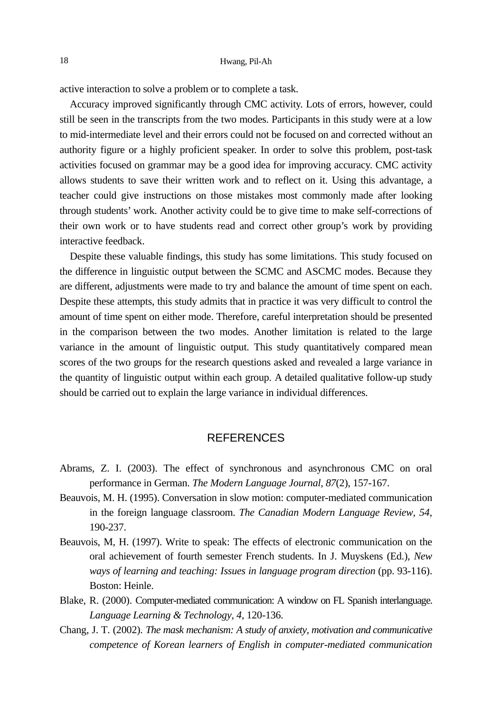active interaction to solve a problem or to complete a task.

Accuracy improved significantly through CMC activity. Lots of errors, however, could still be seen in the transcripts from the two modes. Participants in this study were at a low to mid-intermediate level and their errors could not be focused on and corrected without an authority figure or a highly proficient speaker. In order to solve this problem, post-task activities focused on grammar may be a good idea for improving accuracy. CMC activity allows students to save their written work and to reflect on it. Using this advantage, a teacher could give instructions on those mistakes most commonly made after looking through students' work. Another activity could be to give time to make self-corrections of their own work or to have students read and correct other group's work by providing interactive feedback.

Despite these valuable findings, this study has some limitations. This study focused on the difference in linguistic output between the SCMC and ASCMC modes. Because they are different, adjustments were made to try and balance the amount of time spent on each. Despite these attempts, this study admits that in practice it was very difficult to control the amount of time spent on either mode. Therefore, careful interpretation should be presented in the comparison between the two modes. Another limitation is related to the large variance in the amount of linguistic output. This study quantitatively compared mean scores of the two groups for the research questions asked and revealed a large variance in the quantity of linguistic output within each group. A detailed qualitative follow-up study should be carried out to explain the large variance in individual differences.

#### REFERENCES

- Abrams, Z. I. (2003). The effect of synchronous and asynchronous CMC on oral performance in German. *The Modern Language Journal, 87*(2), 157-167.
- Beauvois, M. H. (1995). Conversation in slow motion: computer-mediated communication in the foreign language classroom. *The Canadian Modern Language Review, 54*, 190-237.
- Beauvois, M, H. (1997). Write to speak: The effects of electronic communication on the oral achievement of fourth semester French students. In J. Muyskens (Ed.), *New ways of learning and teaching: Issues in language program direction* (pp. 93-116). Boston: Heinle.
- Blake, R. (2000). Computer-mediated communication: A window on FL Spanish interlanguage. *Language Learning & Technology, 4*, 120-136.
- Chang, J. T. (2002). *The mask mechanism: A study of anxiety, motivation and communicative competence of Korean learners of English in computer-mediated communication*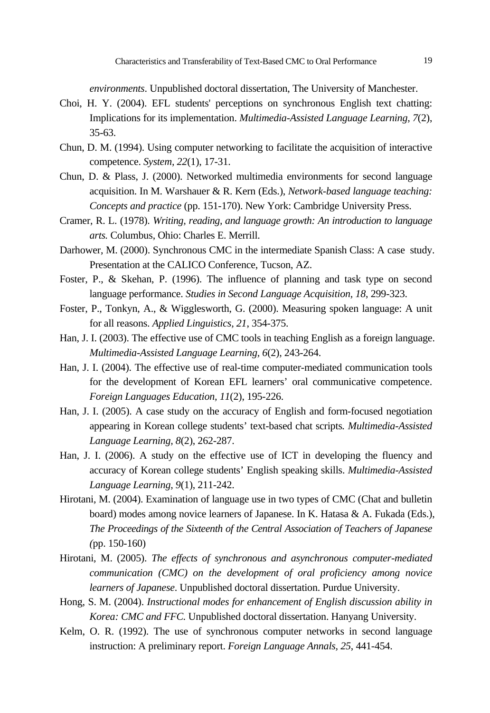*environments*. Unpublished doctoral dissertation, The University of Manchester.

- Choi, H. Y. (2004). EFL students' perceptions on synchronous English text chatting: Implications for its implementation. *Multimedia-Assisted Language Learning, 7*(2), 35-63.
- Chun, D. M. (1994). Using computer networking to facilitate the acquisition of interactive competence. *System, 22*(1), 17-31.
- Chun, D. & Plass, J. (2000). Networked multimedia environments for second language acquisition. In M. Warshauer & R. Kern (Eds.), *Network-based language teaching: Concepts and practice* (pp. 151-170). New York: Cambridge University Press.
- Cramer, R. L. (1978). *Writing, reading, and language growth: An introduction to language arts.* Columbus, Ohio: Charles E. Merrill.
- Darhower, M. (2000). Synchronous CMC in the intermediate Spanish Class: A case study. Presentation at the CALICO Conference, Tucson, AZ.
- Foster, P., & Skehan, P. (1996). The influence of planning and task type on second language performance. *Studies in Second Language Acquisition, 18*, 299-323.
- Foster, P., Tonkyn, A., & Wigglesworth, G. (2000). Measuring spoken language: A unit for all reasons. *Applied Linguistics, 21*, 354-375.
- Han, J. I. (2003). The effective use of CMC tools in teaching English as a foreign language. *Multimedia-Assisted Language Learning, 6*(2), 243-264.
- Han, J. I. (2004). The effective use of real-time computer-mediated communication tools for the development of Korean EFL learners' oral communicative competence. *Foreign Languages Education, 11*(2), 195-226.
- Han, J. I. (2005). A case study on the accuracy of English and form-focused negotiation appearing in Korean college students' text-based chat scripts*. Multimedia-Assisted Language Learning, 8*(2), 262-287.
- Han, J. I. (2006). A study on the effective use of ICT in developing the fluency and accuracy of Korean college students' English speaking skills. *Multimedia-Assisted Language Learning, 9*(1), 211-242.
- Hirotani, M. (2004). Examination of language use in two types of CMC (Chat and bulletin board) modes among novice learners of Japanese. In K. Hatasa & A. Fukada (Eds.), *The Proceedings of the Sixteenth of the Central Association of Teachers of Japanese (*pp. 150-160)
- Hirotani, M. (2005). *The effects of synchronous and asynchronous computer-mediated communication (CMC) on the development of oral proficiency among novice learners of Japanese*. Unpublished doctoral dissertation. Purdue University.
- Hong, S. M. (2004). *Instructional modes for enhancement of English discussion ability in Korea: CMC and FFC.* Unpublished doctoral dissertation. Hanyang University.
- Kelm, O. R. (1992). The use of synchronous computer networks in second language instruction: A preliminary report. *Foreign Language Annals, 25*, 441-454.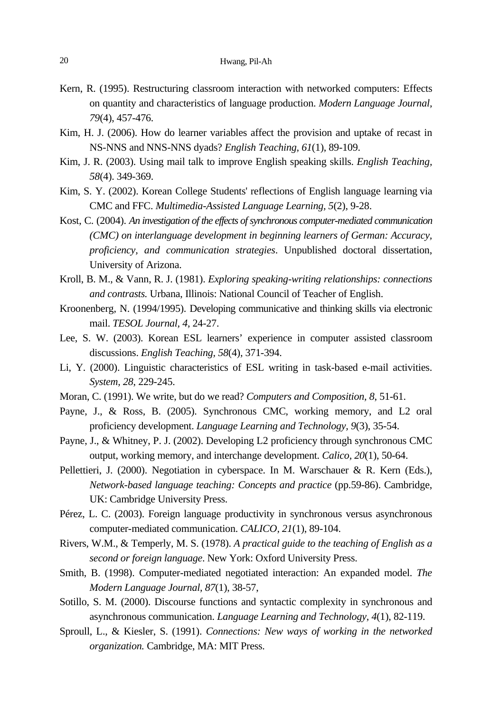- Kern, R. (1995). Restructuring classroom interaction with networked computers: Effects on quantity and characteristics of language production. *Modern Language Journal, 79*(4), 457-476.
- Kim, H. J. (2006). How do learner variables affect the provision and uptake of recast in NS-NNS and NNS-NNS dyads? *English Teaching, 61*(1), 89-109.
- Kim, J. R. (2003). Using mail talk to improve English speaking skills. *English Teaching, 58*(4). 349-369.
- Kim, S. Y. (2002). Korean College Students' reflections of English language learning via CMC and FFC. *Multimedia-Assisted Language Learning, 5*(2), 9-28.
- Kost, C. (2004). *An investigation of the effects of synchronous computer-mediated communication (CMC) on interlanguage development in beginning learners of German: Accuracy, proficiency, and communication strategies*. Unpublished doctoral dissertation, University of Arizona.
- Kroll, B. M., & Vann, R. J. (1981). *Exploring speaking-writing relationships: connections and contrasts.* Urbana, Illinois: National Council of Teacher of English.
- Kroonenberg, N. (1994/1995). Developing communicative and thinking skills via electronic mail. *TESOL Journal, 4,* 24-27.
- Lee, S. W. (2003). Korean ESL learners' experience in computer assisted classroom discussions. *English Teaching, 58*(4)*,* 371-394.
- Li, Y. (2000). Linguistic characteristics of ESL writing in task-based e-mail activities. *System, 28*, 229-245.
- Moran, C. (1991). We write, but do we read? *Computers and Composition, 8*, 51-61.
- Payne, J., & Ross, B. (2005). Synchronous CMC, working memory, and L2 oral proficiency development. *Language Learning and Technology, 9*(3), 35-54.
- Payne, J., & Whitney, P. J. (2002). Developing L2 proficiency through synchronous CMC output, working memory, and interchange development. *Calico, 20*(1), 50-64.
- Pellettieri, J. (2000). Negotiation in cyberspace. In M. Warschauer & R. Kern (Eds.), *Network-based language teaching: Concepts and practice* (pp.59-86). Cambridge, UK: Cambridge University Press.
- Pérez, L. C. (2003). Foreign language productivity in synchronous versus asynchronous computer-mediated communication. *CALICO, 21*(1), 89-104.
- Rivers, W.M., & Temperly, M. S. (1978). *A practical guide to the teaching of English as a second or foreign language*. New York: Oxford University Press.
- Smith, B. (1998). Computer-mediated negotiated interaction: An expanded model. *The Modern Language Journal, 87*(1), 38-57,
- Sotillo, S. M. (2000). Discourse functions and syntactic complexity in synchronous and asynchronous communication. *Language Learning and Technology, 4*(1), 82-119.
- Sproull, L., & Kiesler, S. (1991). *Connections: New ways of working in the networked organization.* Cambridge, MA: MIT Press.